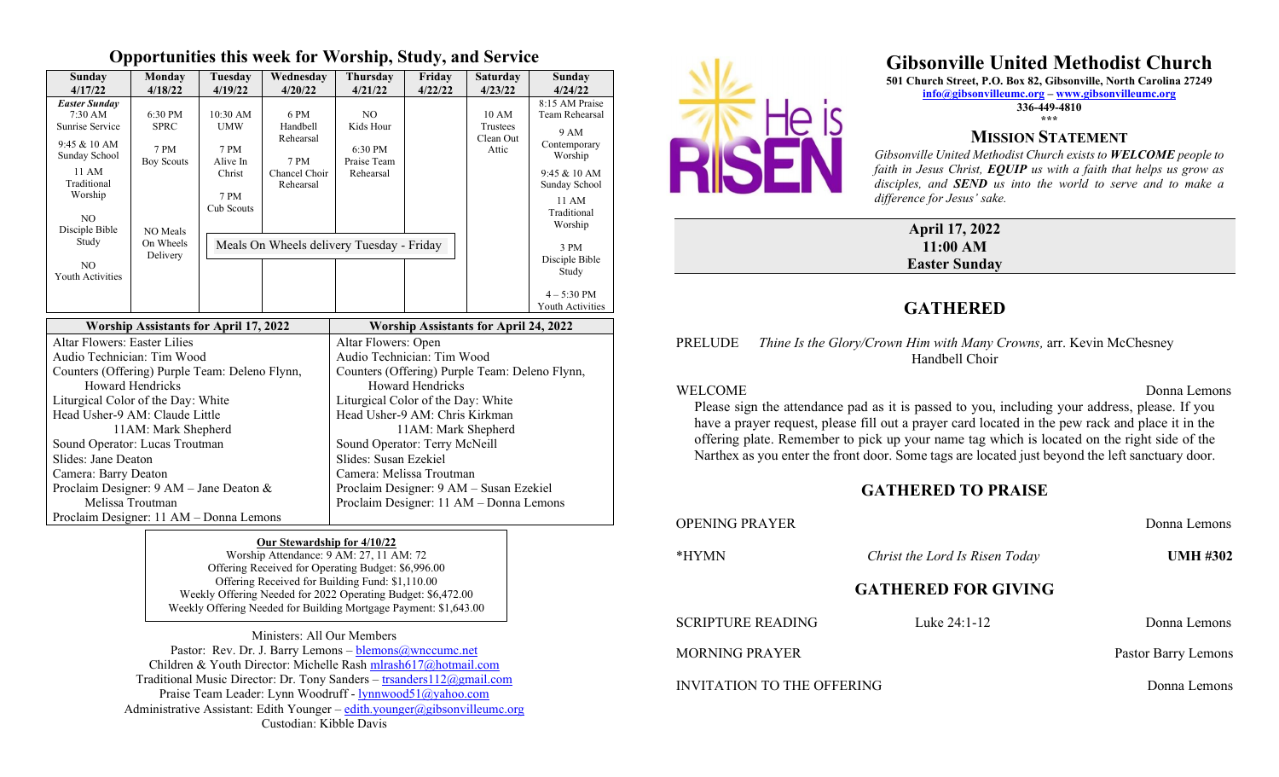### **Opportunities this week for Worship, Study, and Service**

| Sunday<br>4/17/22                                                                                                                                                    | Monday<br>4/18/22                                               | Tuesdav<br>4/19/22                                                           | Wednesdav<br>4/20/22                                                | <b>Thursday</b><br>4/21/22                              | Friday<br>4/22/22 | <b>Saturday</b><br>4/23/22              | Sunday<br>4/24/22                                                                                                                          |
|----------------------------------------------------------------------------------------------------------------------------------------------------------------------|-----------------------------------------------------------------|------------------------------------------------------------------------------|---------------------------------------------------------------------|---------------------------------------------------------|-------------------|-----------------------------------------|--------------------------------------------------------------------------------------------------------------------------------------------|
| <b>Easter Sunday</b><br>$7:30 \text{ AM}$<br>Sunrise Service<br>$9:45 \& 10 \text{ AM}$<br>Sunday School<br>11 AM<br>Traditional<br>Worship<br>NO.<br>Disciple Bible | 6:30 PM<br><b>SPRC</b><br>7 PM<br><b>Boy Scouts</b><br>NO Meals | $10:30$ AM<br><b>UMW</b><br>7 PM<br>Alive In<br>Christ<br>7 PM<br>Cub Scouts | 6 PM<br>Handbell<br>Rehearsal<br>7 PM<br>Chancel Choir<br>Rehearsal | NO.<br>Kids Hour<br>6:30 PM<br>Praise Team<br>Rehearsal |                   | 10 AM<br>Trustees<br>Clean Out<br>Attic | 8:15 AM Praise<br>Team Rehearsal<br>9 AM<br>Contemporary<br>Worship<br>$9:45 \& 10 AM$<br>Sunday School<br>11 AM<br>Traditional<br>Worship |
| Study<br>NO.<br>Youth Activities                                                                                                                                     | On Wheels<br>Delivery                                           |                                                                              | Meals On Wheels delivery Tuesday - Friday                           |                                                         |                   |                                         | 3 PM<br>Disciple Bible<br>Study<br>$4 - 5:30$ PM<br>Youth Activities                                                                       |

| <b>Worship Assistants for April 17, 2022</b>   | <b>Worship Assistants for April 24, 2022</b>   |  |  |
|------------------------------------------------|------------------------------------------------|--|--|
| Altar Flowers: Easter Lilies                   | Altar Flowers: Open                            |  |  |
| Audio Technician: Tim Wood                     | Audio Technician: Tim Wood                     |  |  |
| Counters (Offering) Purple Team: Deleno Flynn, | Counters (Offering) Purple Team: Deleno Flynn, |  |  |
| Howard Hendricks                               | <b>Howard Hendricks</b>                        |  |  |
| Liturgical Color of the Day: White             | Liturgical Color of the Day: White             |  |  |
| Head Usher-9 AM: Claude Little                 | Head Usher-9 AM: Chris Kirkman                 |  |  |
| 11AM: Mark Shepherd                            | 11AM: Mark Shepherd                            |  |  |
| Sound Operator: Lucas Troutman                 | Sound Operator: Terry McNeill                  |  |  |
| Slides: Jane Deaton                            | Slides: Susan Ezekiel                          |  |  |
| Camera: Barry Deaton                           | Camera: Melissa Troutman                       |  |  |
| Proclaim Designer: $9 AM - Jane$ Deaton &      | Proclaim Designer: 9 AM – Susan Ezekiel        |  |  |
| Melissa Troutman                               | Proclaim Designer: 11 AM - Donna Lemons        |  |  |
| Proclaim Designer: 11 AM – Donna Lemons        |                                                |  |  |

#### **Our Stewardship for 4/10/22**

Worship Attendance: 9 AM: 27, 11 AM: 72 Offering Received for Operating Budget: \$6,996.00 Offering Received for Building Fund: \$1,110.00 Weekly Offering Needed for 2022 Operating Budget: \$6,472.00 Weekly Offering Needed for Building Mortgage Payment: \$1,643.00

Ministers: All Our Members Pastor: Rev. Dr. J. Barry Lemons – blemons@wnccumc.net Children & Youth Director: Michelle Rash [mlrash617@hotmail.com](mailto:mlrash617@hotmail.com) Traditional Music Director: Dr. Tony Sanders – [trsanders112@gmail.com](mailto:trsanders112@gmail.com) Praise Team Leader: Lynn Woodruff - [lynnwood51@yahoo.com](mailto:lynnwood51@yahoo.com) Administrative Assistant: Edith Younger – [edith.younger@gibsonvilleumc.org](mailto:edith.younger@gibsonvilleumc.org) Custodian: Kibble Davis



# **Gibsonville United Methodist Church**

**501 Church Street, P.O. Box 82, Gibsonville, North Carolina 27249**

**[info@gibsonvilleumc.org](mailto:info@gibsonvilleumc.org) – [www.gibsonvilleumc.org](http://www.gibsonvilleumc.org/) 336-449-4810 \*\*\***

## **MISSION STATEMENT**

*Gibsonville United Methodist Church exists to WELCOME people to faith in Jesus Christ, EQUIP us with a faith that helps us grow as disciples, and SEND us into the world to serve and to make a difference for Jesus' sake.*

#### **April 17, 2022 11:00 AM Easter Sunday**

## **GATHERED**

### PRELUDE *Thine Is the Glory/Crown Him with Many Crowns,* arr. Kevin McChesney Handbell Choir

#### WELCOME Donna Lemons

Please sign the attendance pad as it is passed to you, including your address, please. If you have a prayer request, please fill out a prayer card located in the pew rack and place it in the offering plate. Remember to pick up your name tag which is located on the right side of the Narthex as you enter the front door. Some tags are located just beyond the left sanctuary door.

### **GATHERED TO PRAISE**

| <b>OPENING PRAYER</b>      |                 | Donna Lemons        |  |  |  |  |
|----------------------------|-----------------|---------------------|--|--|--|--|
| *HYMN                      | <b>UMH #302</b> |                     |  |  |  |  |
| <b>GATHERED FOR GIVING</b> |                 |                     |  |  |  |  |
| <b>SCRIPTURE READING</b>   | Luke 24:1-12    | Donna Lemons        |  |  |  |  |
| <b>MORNING PRAYER</b>      |                 | Pastor Barry Lemons |  |  |  |  |
| INVITATION TO THE OFFERING | Donna Lemons    |                     |  |  |  |  |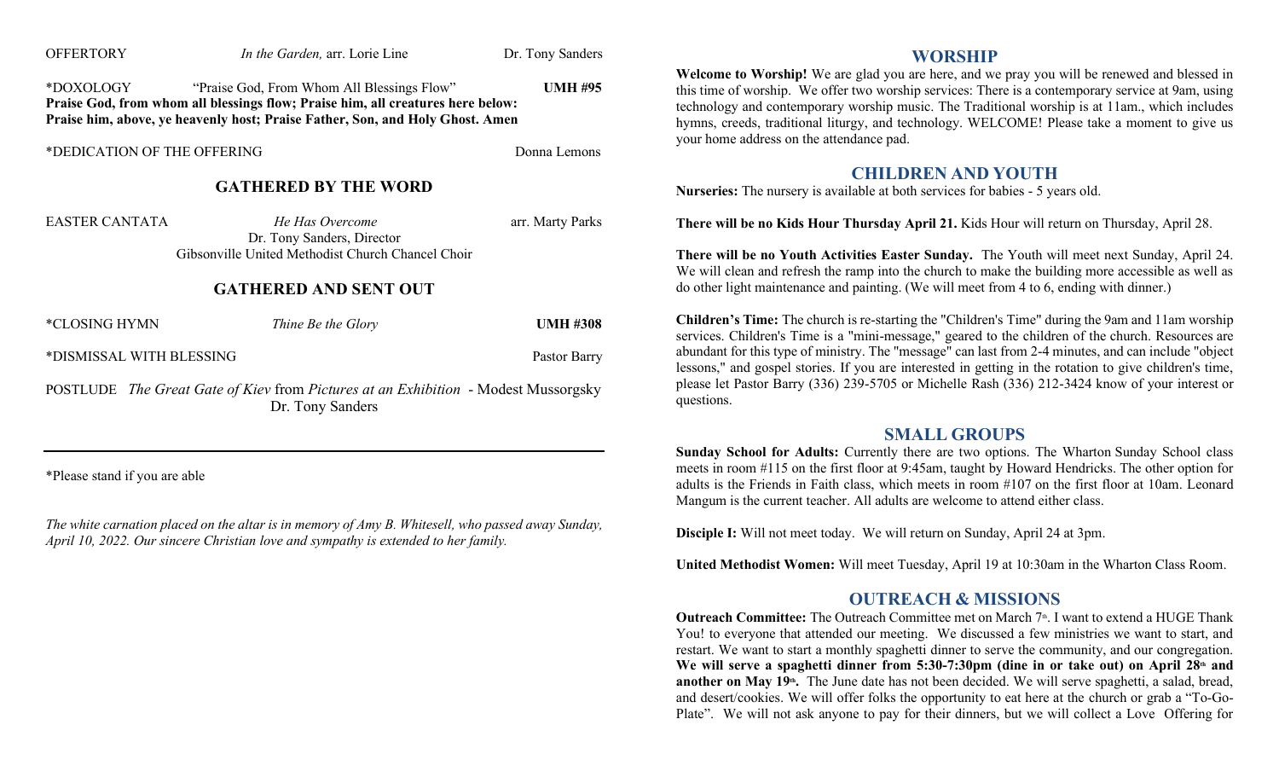| <b>OFFERTORY</b>                                                                                              | In the Garden, arr. Lorie Line                                                                                                                                                                                 | Dr. Tony Sanders |  |  |  |
|---------------------------------------------------------------------------------------------------------------|----------------------------------------------------------------------------------------------------------------------------------------------------------------------------------------------------------------|------------------|--|--|--|
| *DOXOLOGY                                                                                                     | "Praise God, From Whom All Blessings Flow"<br>Praise God, from whom all blessings flow; Praise him, all creatures here below:<br>Praise him, above, ye heavenly host; Praise Father, Son, and Holy Ghost. Amen | <b>UMH #95</b>   |  |  |  |
| *DEDICATION OF THE OFFERING                                                                                   |                                                                                                                                                                                                                | Donna Lemons     |  |  |  |
|                                                                                                               | <b>GATHERED BY THE WORD</b>                                                                                                                                                                                    |                  |  |  |  |
| <b>EASTER CANTATA</b>                                                                                         | He Has Overcome<br>Dr. Tony Sanders, Director<br>Gibsonville United Methodist Church Chancel Choir                                                                                                             | arr. Marty Parks |  |  |  |
|                                                                                                               | <b>GATHERED AND SENT OUT</b>                                                                                                                                                                                   |                  |  |  |  |
| *CLOSING HYMN                                                                                                 | Thine Be the Glory                                                                                                                                                                                             | <b>UMH #308</b>  |  |  |  |
| *DISMISSAL WITH BLESSING                                                                                      | Pastor Barry                                                                                                                                                                                                   |                  |  |  |  |
| <b>POSTLUDE</b> The Great Gate of Kiev from Pictures at an Exhibition - Modest Mussorgsky<br>Dr. Tony Sanders |                                                                                                                                                                                                                |                  |  |  |  |

\*Please stand if you are able

*The white carnation placed on the altar is in memory of Amy B. Whitesell, who passed away Sunday, April 10, 2022. Our sincere Christian love and sympathy is extended to her family.* 

### **WORSHIP**

**Welcome to Worship!** We are glad you are here, and we pray you will be renewed and blessed in this time of worship. We offer two worship services: There is a contemporary service at 9am, using technology and contemporary worship music. The Traditional worship is at 11am., which includes hymns, creeds, traditional liturgy, and technology. WELCOME! Please take a moment to give us your home address on the attendance pad.

### **CHILDREN AND YOUTH**

**Nurseries:** The nursery is available at both services for babies - 5 years old.

**There will be no Kids Hour Thursday April 21.** Kids Hour will return on Thursday, April 28.

**There will be no Youth Activities Easter Sunday.** The Youth will meet next Sunday, April 24. We will clean and refresh the ramp into the church to make the building more accessible as well as do other light maintenance and painting. (We will meet from 4 to 6, ending with dinner.)

**Children's Time:** The church is re-starting the "Children's Time" during the 9am and 11am worship services. Children's Time is a "mini-message," geared to the children of the church. Resources are abundant for this type of ministry. The "message" can last from 2-4 minutes, and can include "object lessons," and gospel stories. If you are interested in getting in the rotation to give children's time, please let Pastor Barry (336) 239-5705 or Michelle Rash (336) 212-3424 know of your interest or questions.

### **SMALL GROUPS**

**Sunday School for Adults:** Currently there are two options. The Wharton Sunday School class meets in room #115 on the first floor at 9:45am, taught by Howard Hendricks. The other option for adults is the Friends in Faith class, which meets in room #107 on the first floor at 10am. Leonard Mangum is the current teacher. All adults are welcome to attend either class.

**Disciple I:** Will not meet today. We will return on Sunday, April 24 at 3pm.

**United Methodist Women:** Will meet Tuesday, April 19 at 10:30am in the Wharton Class Room.

## **OUTREACH & MISSIONS**

Outreach Committee: The Outreach Committee met on March 7<sup>th</sup>. I want to extend a HUGE Thank You! to everyone that attended our meeting. We discussed a few ministries we want to start, and restart. We want to start a monthly spaghetti dinner to serve the community, and our congregation. **We will serve a spaghetti dinner from 5:30-7:30pm (dine in or take out) on April 28th and**  another on May 19<sup>th</sup>. The June date has not been decided. We will serve spaghetti, a salad, bread, and desert/cookies. We will offer folks the opportunity to eat here at the church or grab a "To-Go-Plate". We will not ask anyone to pay for their dinners, but we will collect a Love Offering for